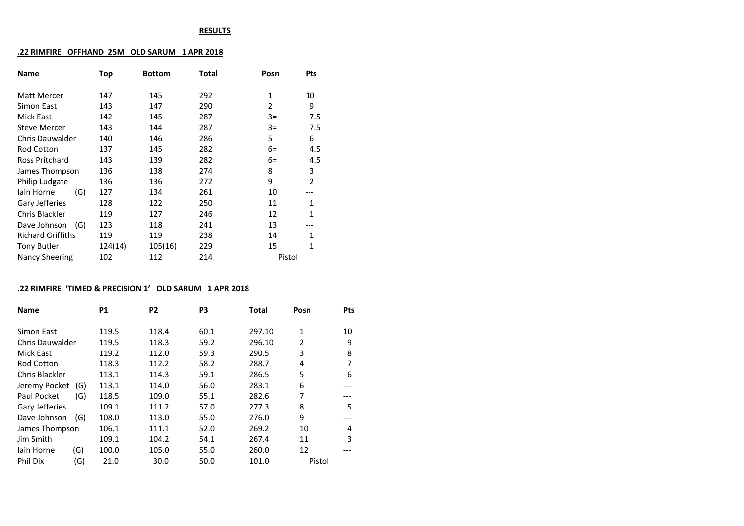#### **RESULTS**

### **.22 RIMFIRE OFFHAND 25M OLD SARUM 1 APR 2018**

| <b>Name</b>              | Top     | <b>Bottom</b> | Total | Posn   | <b>Pts</b>     |
|--------------------------|---------|---------------|-------|--------|----------------|
| Matt Mercer              | 147     | 145           | 292   | 1      | 10             |
| Simon East               | 143     | 147           | 290   | 2      | 9              |
| Mick East                | 142     | 145           | 287   | $3=$   | 7.5            |
| Steve Mercer             | 143     | 144           | 287   | $3=$   | 7.5            |
| Chris Dauwalder          | 140     | 146           | 286   | 5      | 6              |
| Rod Cotton               | 137     | 145           | 282   | $6=$   | 4.5            |
| Ross Pritchard           | 143     | 139           | 282   | $6=$   | 4.5            |
| James Thompson           | 136     | 138           | 274   | 8      | 3              |
| Philip Ludgate           | 136     | 136           | 272   | 9      | $\overline{2}$ |
| lain Horne<br>(G)        | 127     | 134           | 261   | 10     |                |
| Gary Jefferies           | 128     | 122           | 250   | 11     | 1              |
| Chris Blackler           | 119     | 127           | 246   | 12     | $\mathbf{1}$   |
| Dave Johnson<br>(G)      | 123     | 118           | 241   | 13     |                |
| <b>Richard Griffiths</b> | 119     | 119           | 238   | 14     | 1              |
| Tony Butler              | 124(14) | 105(16)       | 229   | 15     | 1              |
| <b>Nancy Sheering</b>    | 102     | 112           | 214   | Pistol |                |
|                          |         |               |       |        |                |

### **.22 RIMFIRE 'TIMED & PRECISION 1' OLD SARUM 1 APR 2018**

| <b>Name</b>            |     | <b>P1</b> | P <sub>2</sub> | P3   | <b>Total</b> | Posn           | Pts |
|------------------------|-----|-----------|----------------|------|--------------|----------------|-----|
| Simon East             |     | 119.5     | 118.4          | 60.1 | 297.10       | 1              | 10  |
| <b>Chris Dauwalder</b> |     | 119.5     | 118.3          | 59.2 | 296.10       | $\overline{2}$ | 9   |
| <b>Mick East</b>       |     | 119.2     | 112.0          | 59.3 | 290.5        | 3              | 8   |
| <b>Rod Cotton</b>      |     | 118.3     | 112.2          | 58.2 | 288.7        | 4              | 7   |
| Chris Blackler         |     | 113.1     | 114.3          | 59.1 | 286.5        | 5              | 6   |
| Jeremy Pocket          | (G) | 113.1     | 114.0          | 56.0 | 283.1        | 6              |     |
| Paul Pocket            | (G) | 118.5     | 109.0          | 55.1 | 282.6        | 7              |     |
| Gary Jefferies         |     | 109.1     | 111.2          | 57.0 | 277.3        | 8              | 5   |
| Dave Johnson           | (G) | 108.0     | 113.0          | 55.0 | 276.0        | 9              |     |
| James Thompson         |     | 106.1     | 111.1          | 52.0 | 269.2        | 10             | 4   |
| Jim Smith              |     | 109.1     | 104.2          | 54.1 | 267.4        | 11             | 3   |
| lain Horne             | (G) | 100.0     | 105.0          | 55.0 | 260.0        | 12             |     |
| <b>Phil Dix</b>        | (G) | 21.0      | 30.0           | 50.0 | 101.0        | Pistol         |     |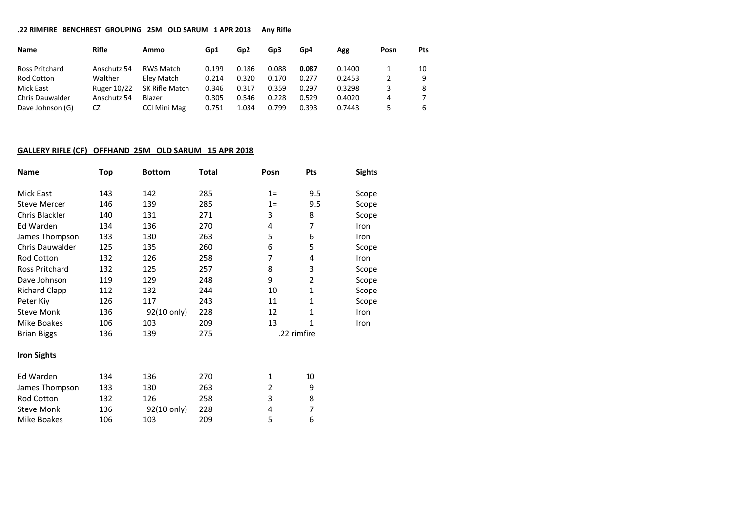#### **.22 RIMFIRE BENCHREST GROUPING 25M OLD SARUM 1 APR 2018 Any Rifle**

| Name                   | Rifle              | Ammo             | Gp1   | Gp2   | Gp3   | Gp4   | Agg    | Posn | Pts |
|------------------------|--------------------|------------------|-------|-------|-------|-------|--------|------|-----|
| Ross Pritchard         | Anschutz 54        | <b>RWS Match</b> | 0.199 | 0.186 | 0.088 | 0.087 | 0.1400 |      | 10  |
| Rod Cotton             | Walther            | Elev Match       | 0.214 | 0.320 | 0.170 | 0.277 | 0.2453 |      | 9   |
| Mick East              | <b>Ruger 10/22</b> | SK Rifle Match   | 0.346 | 0.317 | 0.359 | 0.297 | 0.3298 | 3    | 8   |
| <b>Chris Dauwalder</b> | Anschutz 54        | Blazer           | 0.305 | 0.546 | 0.228 | 0.529 | 0.4020 | 4    |     |
| Dave Johnson (G)       | CZ                 | CCI Mini Mag     | 0.751 | 1.034 | 0.799 | 0.393 | 0.7443 |      | 6   |

## **GALLERY RIFLE (CF) OFFHAND 25M OLD SARUM 15 APR 2018**

| <b>Name</b>            | Top | <b>Bottom</b> | Total | Posn           | Pts            | <b>Sights</b> |
|------------------------|-----|---------------|-------|----------------|----------------|---------------|
| Mick East              | 143 | 142           | 285   | $1=$           | 9.5            | Scope         |
| <b>Steve Mercer</b>    | 146 | 139           | 285   | $1=$           | 9.5            | Scope         |
| Chris Blackler         | 140 | 131           | 271   | 3              | 8              | Scope         |
| Ed Warden              | 134 | 136           | 270   | 4              | 7              | Iron          |
| James Thompson         | 133 | 130           | 263   | 5              | 6              | Iron          |
| <b>Chris Dauwalder</b> | 125 | 135           | 260   | 6              | 5              | Scope         |
| Rod Cotton             | 132 | 126           | 258   | 7              | 4              | Iron          |
| Ross Pritchard         | 132 | 125           | 257   | 8              | 3              | Scope         |
| Dave Johnson           | 119 | 129           | 248   | 9              | $\overline{2}$ | Scope         |
| <b>Richard Clapp</b>   | 112 | 132           | 244   | 10             | 1              | Scope         |
| Peter Kiy              | 126 | 117           | 243   | 11             | 1              | Scope         |
| <b>Steve Monk</b>      | 136 | 92(10 only)   | 228   | 12             | 1              | Iron          |
| Mike Boakes            | 106 | 103           | 209   | 13             | 1              | Iron          |
| <b>Brian Biggs</b>     | 136 | 139           | 275   |                | .22 rimfire    |               |
| <b>Iron Sights</b>     |     |               |       |                |                |               |
| Ed Warden              | 134 | 136           | 270   | $\mathbf{1}$   | 10             |               |
| James Thompson         | 133 | 130           | 263   | $\overline{2}$ | 9              |               |
| Rod Cotton             | 132 | 126           | 258   | 3              | 8              |               |
| <b>Steve Monk</b>      | 136 | 92(10 only)   | 228   | 4              | 7              |               |
| Mike Boakes            | 106 | 103           | 209   | 5              | 6              |               |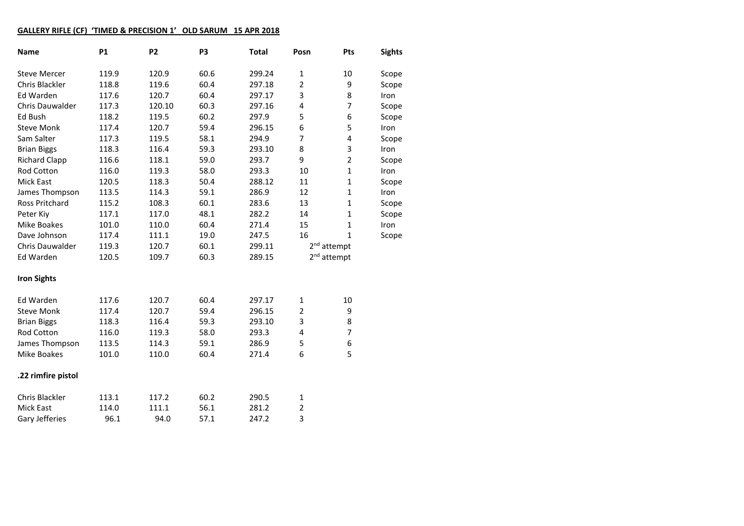## **GALLERY RIFLE (CF) 'TIMED & PRECISION 1' OLD SARUM 15 APR 2018**

| <b>Name</b>           | <b>P1</b> | P <sub>2</sub> | P3   | <b>Total</b> | Posn           | Pts                     | <b>Sights</b> |
|-----------------------|-----------|----------------|------|--------------|----------------|-------------------------|---------------|
| <b>Steve Mercer</b>   | 119.9     | 120.9          | 60.6 | 299.24       | $\mathbf{1}$   | 10                      | Scope         |
| Chris Blackler        | 118.8     | 119.6          | 60.4 | 297.18       | $\overline{2}$ | 9                       | Scope         |
| Ed Warden             | 117.6     | 120.7          | 60.4 | 297.17       | 3              | 8                       | Iron          |
| Chris Dauwalder       | 117.3     | 120.10         | 60.3 | 297.16       | 4              | $\overline{7}$          | Scope         |
| Ed Bush               | 118.2     | 119.5          | 60.2 | 297.9        | 5              | 6                       | Scope         |
| <b>Steve Monk</b>     | 117.4     | 120.7          | 59.4 | 296.15       | 6              | 5                       | Iron          |
| Sam Salter            | 117.3     | 119.5          | 58.1 | 294.9        | 7              | 4                       | Scope         |
| <b>Brian Biggs</b>    | 118.3     | 116.4          | 59.3 | 293.10       | 8              | 3                       | Iron          |
| <b>Richard Clapp</b>  | 116.6     | 118.1          | 59.0 | 293.7        | 9              | $\overline{2}$          | Scope         |
| Rod Cotton            | 116.0     | 119.3          | 58.0 | 293.3        | 10             | $\mathbf 1$             | Iron          |
| <b>Mick East</b>      | 120.5     | 118.3          | 50.4 | 288.12       | 11             | $\mathbf 1$             | Scope         |
| James Thompson        | 113.5     | 114.3          | 59.1 | 286.9        | 12             | 1                       | Iron          |
| <b>Ross Pritchard</b> | 115.2     | 108.3          | 60.1 | 283.6        | 13             | 1                       | Scope         |
| Peter Kiy             | 117.1     | 117.0          | 48.1 | 282.2        | 14             | 1                       | Scope         |
| <b>Mike Boakes</b>    | 101.0     | 110.0          | 60.4 | 271.4        | 15             | 1                       | <b>Iron</b>   |
| Dave Johnson          | 117.4     | 111.1          | 19.0 | 247.5        | 16             | $\mathbf{1}$            | Scope         |
| Chris Dauwalder       | 119.3     | 120.7          | 60.1 | 299.11       |                | 2 <sup>nd</sup> attempt |               |
| Ed Warden             | 120.5     | 109.7          | 60.3 | 289.15       |                | 2 <sup>nd</sup> attempt |               |
| <b>Iron Sights</b>    |           |                |      |              |                |                         |               |
| Ed Warden             | 117.6     | 120.7          | 60.4 | 297.17       | 1              | 10                      |               |
| <b>Steve Monk</b>     | 117.4     | 120.7          | 59.4 | 296.15       | $\overline{2}$ | 9                       |               |
| <b>Brian Biggs</b>    | 118.3     | 116.4          | 59.3 | 293.10       | 3              | 8                       |               |
| Rod Cotton            | 116.0     | 119.3          | 58.0 | 293.3        | 4              | $\overline{7}$          |               |
| James Thompson        | 113.5     | 114.3          | 59.1 | 286.9        | 5              | 6                       |               |
| Mike Boakes           | 101.0     | 110.0          | 60.4 | 271.4        | 6              | 5                       |               |
| .22 rimfire pistol    |           |                |      |              |                |                         |               |
| Chris Blackler        | 113.1     | 117.2          | 60.2 | 290.5        | $\mathbf{1}$   |                         |               |
| <b>Mick East</b>      | 114.0     | 111.1          | 56.1 | 281.2        | $\overline{2}$ |                         |               |
| Gary Jefferies        | 96.1      | 94.0           | 57.1 | 247.2        | 3              |                         |               |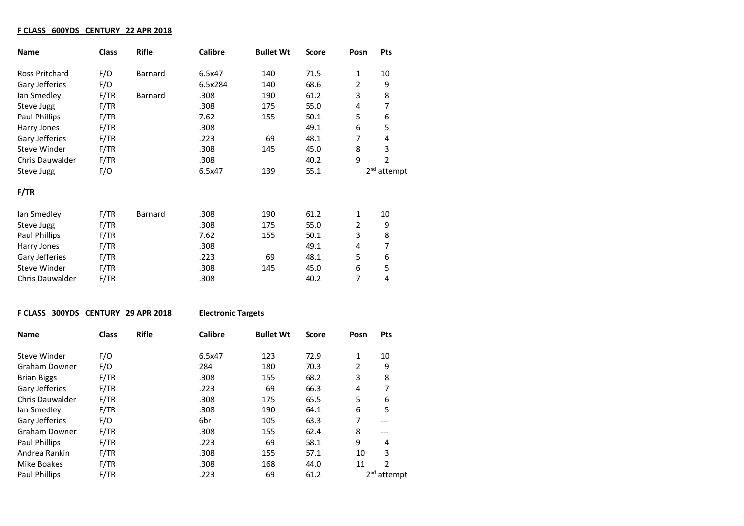## **F CLASS 600YDS CENTURY 22 APR 2018**

| <b>Name</b>            | <b>Class</b> | <b>Rifle</b> | <b>Calibre</b> | <b>Bullet Wt</b> | <b>Score</b> | Posn           | <b>Pts</b>              |
|------------------------|--------------|--------------|----------------|------------------|--------------|----------------|-------------------------|
| Ross Pritchard         | F/O          | Barnard      | 6.5x47         | 140              | 71.5         | $\mathbf{1}$   | 10                      |
| Gary Jefferies         | F/O          |              | 6.5x284        | 140              | 68.6         | $\overline{2}$ | 9                       |
| Ian Smedley            | F/TR         | Barnard      | .308           | 190              | 61.2         | 3              | 8                       |
| Steve Jugg             | F/TR         |              | .308           | 175              | 55.0         | 4              | 7                       |
| Paul Phillips          | F/TR         |              | 7.62           | 155              | 50.1         | 5              | 6                       |
| Harry Jones            | F/TR         |              | .308           |                  | 49.1         | 6              | 5                       |
| Gary Jefferies         | F/TR         |              | .223           | 69               | 48.1         | 7              | 4                       |
| Steve Winder           | F/TR         |              | .308           | 145              | 45.0         | 8              | 3                       |
| <b>Chris Dauwalder</b> | F/TR         |              | .308           |                  | 40.2         | 9              | $\overline{2}$          |
| Steve Jugg             | F/O          |              | 6.5x47         | 139              | 55.1         |                | 2 <sup>nd</sup> attempt |
| F/TR                   |              |              |                |                  |              |                |                         |
| lan Smedley            | F/TR         | Barnard      | .308           | 190              | 61.2         | $\mathbf{1}$   | 10                      |
| Steve Jugg             | F/TR         |              | .308           | 175              | 55.0         | $\overline{2}$ | 9                       |
| Paul Phillips          | F/TR         |              | 7.62           | 155              | 50.1         | 3              | 8                       |
| Harry Jones            | F/TR         |              | .308           |                  | 49.1         | 4              | 7                       |
| Gary Jefferies         | F/TR         |              | .223           | 69               | 48.1         | 5              | 6                       |
| Steve Winder           | F/TR         |              | .308           | 145              | 45.0         | 6              | 5                       |
| Chris Dauwalder        | F/TR         |              | .308           |                  | 40.2         | 7              | 4                       |

## **F CLASS 300YDS CENTURY 29 APR 2018 Electronic Targets**

| <b>Name</b>            | <b>Class</b> | <b>Rifle</b> | <b>Calibre</b> | <b>Bullet Wt</b> | <b>Score</b> | Posn | <b>Pts</b>    |  |
|------------------------|--------------|--------------|----------------|------------------|--------------|------|---------------|--|
|                        |              |              |                |                  |              |      |               |  |
| Steve Winder           | F/O          |              | 6.5x47         | 123              | 72.9         | 1    | 10            |  |
| Graham Downer          | F/O          |              | 284            | 180              | 70.3         | 2    | 9             |  |
| <b>Brian Biggs</b>     | F/TR         |              | .308           | 155              | 68.2         | 3    | 8             |  |
| Gary Jefferies         | F/TR         |              | .223           | 69               | 66.3         | 4    | 7             |  |
| <b>Chris Dauwalder</b> | F/TR         |              | .308           | 175              | 65.5         | 5    | 6             |  |
| lan Smedley            | F/TR         |              | .308           | 190              | 64.1         | 6    | 5             |  |
| Gary Jefferies         | F/O          |              | 6br            | 105              | 63.3         | 7    | $---$         |  |
| Graham Downer          | F/TR         |              | .308           | 155              | 62.4         | 8    | ---           |  |
| <b>Paul Phillips</b>   | F/TR         |              | .223           | 69               | 58.1         | 9    | 4             |  |
| Andrea Rankin          | F/TR         |              | .308           | 155              | 57.1         | 10   | 3             |  |
| Mike Boakes            | F/TR         |              | .308           | 168              | 44.0         | 11   | 2             |  |
| Paul Phillips          | F/TR         |              | .223           | 69               | 61.2         |      | $2nd$ attempt |  |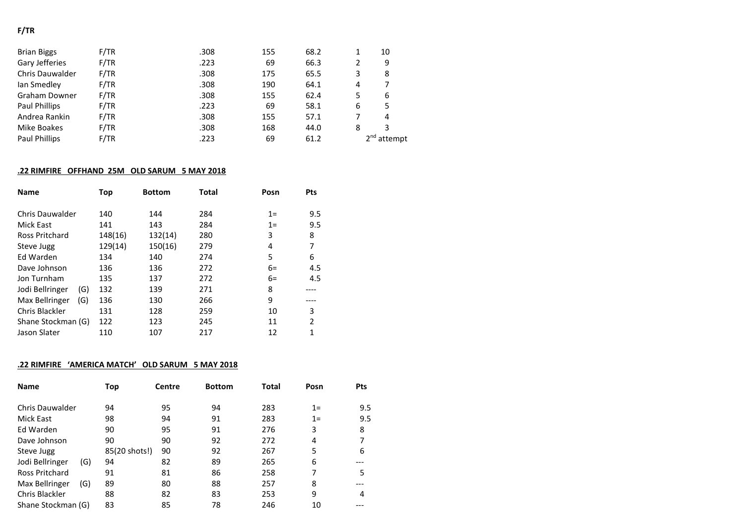# **F/TR**

| <b>Brian Biggs</b>     | F/TR | .308 | 155 | 68.2 |   | 10                      |
|------------------------|------|------|-----|------|---|-------------------------|
| Gary Jefferies         | F/TR | .223 | 69  | 66.3 |   | 9                       |
| <b>Chris Dauwalder</b> | F/TR | .308 | 175 | 65.5 |   | 8                       |
| Ian Smedley            | F/TR | .308 | 190 | 64.1 | 4 |                         |
| Graham Downer          | F/TR | .308 | 155 | 62.4 |   | 6                       |
| Paul Phillips          | F/TR | .223 | 69  | 58.1 | 6 | 5                       |
| Andrea Rankin          | F/TR | .308 | 155 | 57.1 |   | 4                       |
| Mike Boakes            | F/TR | .308 | 168 | 44.0 | 8 | 3                       |
| <b>Paul Phillips</b>   | F/TR | .223 | 69  | 61.2 |   | 2 <sup>nd</sup> attempt |

## **.22 RIMFIRE OFFHAND 25M OLD SARUM 5 MAY 2018**

| <b>Name</b>            | Top     | <b>Bottom</b> | <b>Total</b> | Posn | Pts |
|------------------------|---------|---------------|--------------|------|-----|
| Chris Dauwalder        | 140     | 144           | 284          | $1=$ | 9.5 |
| Mick East              | 141     | 143           | 284          | $1=$ | 9.5 |
| Ross Pritchard         | 148(16) | 132(14)       | 280          | 3    | 8   |
| Steve Jugg             | 129(14) | 150(16)       | 279          | 4    | 7   |
| Ed Warden              | 134     | 140           | 274          | 5    | 6   |
| Dave Johnson           | 136     | 136           | 272          | $6=$ | 4.5 |
| Jon Turnham            | 135     | 137           | 272          | $6=$ | 4.5 |
| (G)<br>Jodi Bellringer | 132     | 139           | 271          | 8    |     |
| (G)<br>Max Bellringer  | 136     | 130           | 266          | 9    |     |
| <b>Chris Blackler</b>  | 131     | 128           | 259          | 10   | 3   |
| Shane Stockman (G)     | 122     | 123           | 245          | 11   | 2   |
| Jason Slater           | 110     | 107           | 217          | 12   | 1   |

# **.22 RIMFIRE 'AMERICA MATCH' OLD SARUM 5 MAY 2018**

| <b>Name</b>        |     | Top           | Centre | <b>Bottom</b> | Total | Posn  | <b>Pts</b> |
|--------------------|-----|---------------|--------|---------------|-------|-------|------------|
| Chris Dauwalder    |     | 94            | 95     | 94            | 283   | $1 =$ | 9.5        |
| Mick East          |     | 98            | 94     | 91            | 283   | $1 =$ | 9.5        |
| Ed Warden          |     | 90            | 95     | 91            | 276   | 3     | 8          |
| Dave Johnson       |     | 90            | 90     | 92            | 272   | 4     |            |
| Steve Jugg         |     | 85(20 shots!) | 90     | 92            | 267   | 5     | 6          |
| Jodi Bellringer    | (G) | 94            | 82     | 89            | 265   | 6     |            |
| Ross Pritchard     |     | 91            | 81     | 86            | 258   | 7     | 5          |
| Max Bellringer     | (G) | 89            | 80     | 88            | 257   | 8     |            |
| Chris Blackler     |     | 88            | 82     | 83            | 253   | 9     | 4          |
| Shane Stockman (G) |     | 83            | 85     | 78            | 246   | 10    |            |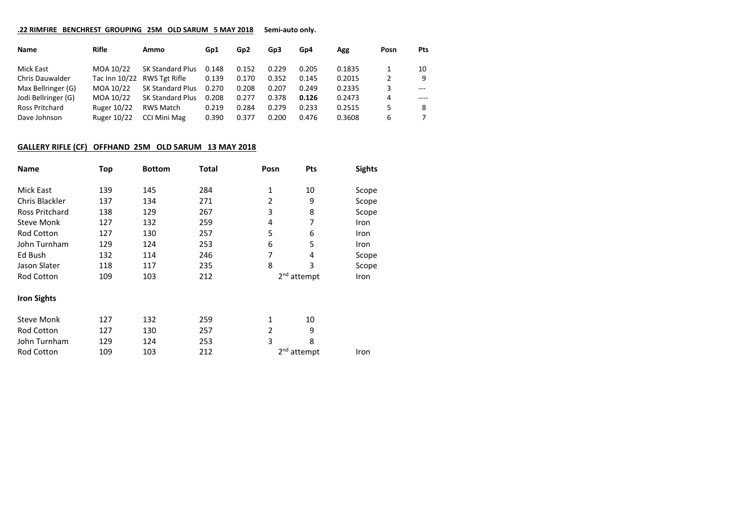### **.22 RIMFIRE BENCHREST GROUPING 25M OLD SARUM 5 MAY 2018 Semi-auto only.**

| Name                   | Rifle              | Ammo                    | Gp1   | Gp <sub>2</sub> | Gp3   | Gp4   | Agg    | Posn | <b>Pts</b> |
|------------------------|--------------------|-------------------------|-------|-----------------|-------|-------|--------|------|------------|
| Mick East              | MOA 10/22          | <b>SK Standard Plus</b> | 0.148 | 0.152           | 0.229 | 0.205 | 0.1835 |      | 10         |
| <b>Chris Dauwalder</b> | Tac Inn 10/22      | RWS Tgt Rifle           | 0.139 | 0.170           | 0.352 | 0.145 | 0.2015 |      | q          |
| Max Bellringer (G)     | MOA 10/22          | <b>SK Standard Plus</b> | 0.270 | 0.208           | 0.207 | 0.249 | 0.2335 | 3    | $---$      |
| Jodi Bellringer (G)    | MOA 10/22          | <b>SK Standard Plus</b> | 0.208 | 0.277           | 0.378 | 0.126 | 0.2473 | 4    |            |
| Ross Pritchard         | <b>Ruger 10/22</b> | RWS Match               | 0.219 | 0.284           | 0.279 | 0.233 | 0.2515 | 5    | 8          |
| Dave Johnson           | <b>Ruger 10/22</b> | CCI Mini Mag            | 0.390 | 0.377           | 0.200 | 0.476 | 0.3608 | 6    |            |

### **GALLERY RIFLE (CF) OFFHAND 25M OLD SARUM 13 MAY 2018**

| <b>Name</b>           | Top | <b>Bottom</b> | Total | Posn | Pts                     | <b>Sights</b> |
|-----------------------|-----|---------------|-------|------|-------------------------|---------------|
| Mick East             | 139 | 145           | 284   | 1    | 10                      | Scope         |
| Chris Blackler        | 137 | 134           | 271   | 2    | 9                       | Scope         |
| <b>Ross Pritchard</b> | 138 | 129           | 267   | 3    | 8                       | Scope         |
| <b>Steve Monk</b>     | 127 | 132           | 259   | 4    | 7                       | <b>Iron</b>   |
| <b>Rod Cotton</b>     | 127 | 130           | 257   | 5    | 6                       | <b>Iron</b>   |
| John Turnham          | 129 | 124           | 253   | 6    | 5                       | Iron          |
| Ed Bush               | 132 | 114           | 246   | 7    | 4                       | Scope         |
| Jason Slater          | 118 | 117           | 235   | 8    | 3                       | Scope         |
| Rod Cotton            | 109 | 103           | 212   |      | $2nd$ attempt           | Iron          |
| <b>Iron Sights</b>    |     |               |       |      |                         |               |
| <b>Steve Monk</b>     | 127 | 132           | 259   | 1    | 10                      |               |
| <b>Rod Cotton</b>     | 127 | 130           | 257   | 2    | 9                       |               |
| John Turnham          | 129 | 124           | 253   | 3    | 8                       |               |
| Rod Cotton            | 109 | 103           | 212   |      | 2 <sup>nd</sup> attempt | Iron          |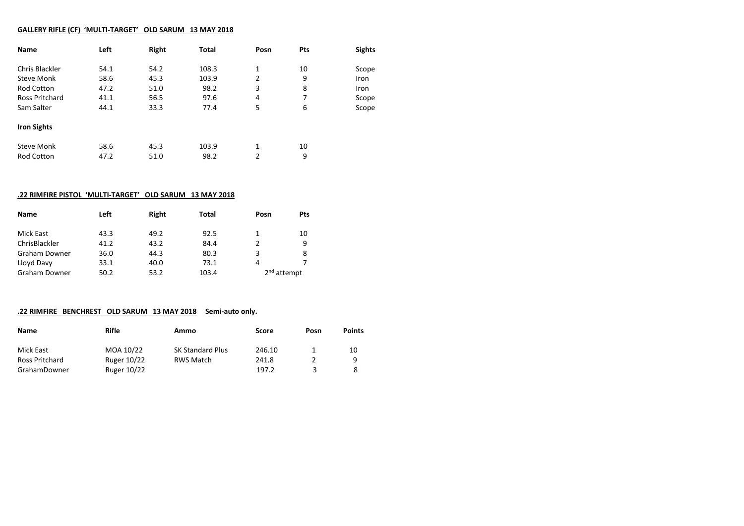### **GALLERY RIFLE (CF) 'MULTI-TARGET' OLD SARUM 13 MAY 2018**

| Name                  | Left | Right | Total | Posn | Pts | <b>Sights</b> |
|-----------------------|------|-------|-------|------|-----|---------------|
| Chris Blackler        | 54.1 | 54.2  | 108.3 | 1    | 10  | Scope         |
| <b>Steve Monk</b>     | 58.6 | 45.3  | 103.9 | 2    | 9   | Iron          |
| <b>Rod Cotton</b>     | 47.2 | 51.0  | 98.2  | 3    | 8   | <b>Iron</b>   |
| <b>Ross Pritchard</b> | 41.1 | 56.5  | 97.6  | 4    | 7   | Scope         |
| Sam Salter            | 44.1 | 33.3  | 77.4  | 5    | 6   | Scope         |
| <b>Iron Sights</b>    |      |       |       |      |     |               |
| <b>Steve Monk</b>     | 58.6 | 45.3  | 103.9 | 1    | 10  |               |
| <b>Rod Cotton</b>     | 47.2 | 51.0  | 98.2  | 2    | 9   |               |

### **.22 RIMFIRE PISTOL 'MULTI-TARGET' OLD SARUM 13 MAY 2018**

| <b>Name</b>   | Left | Right | Total | Posn                    | <b>Pts</b> |
|---------------|------|-------|-------|-------------------------|------------|
| Mick East     | 43.3 | 49.2  | 92.5  |                         | 10         |
| ChrisBlackler | 41.2 | 43.2  | 84.4  |                         | q          |
| Graham Downer | 36.0 | 44.3  | 80.3  | 3                       | 8          |
| Lloyd Davy    | 33.1 | 40.0  | 73.1  | 4                       |            |
| Graham Downer | 50.2 | 53.2  | 103.4 | 2 <sup>nd</sup> attempt |            |

### **.22 RIMFIRE BENCHREST OLD SARUM 13 MAY 2018 Semi-auto only.**

| Name           | Rifle       | Ammo                    | Score  | Posn | <b>Points</b> |
|----------------|-------------|-------------------------|--------|------|---------------|
| Mick East      | MOA 10/22   | <b>SK Standard Plus</b> | 246.10 |      | 10            |
| Ross Pritchard | Ruger 10/22 | RWS Match               | 241.8  |      | 9             |
| GrahamDowner   | Ruger 10/22 |                         | 197.2  |      |               |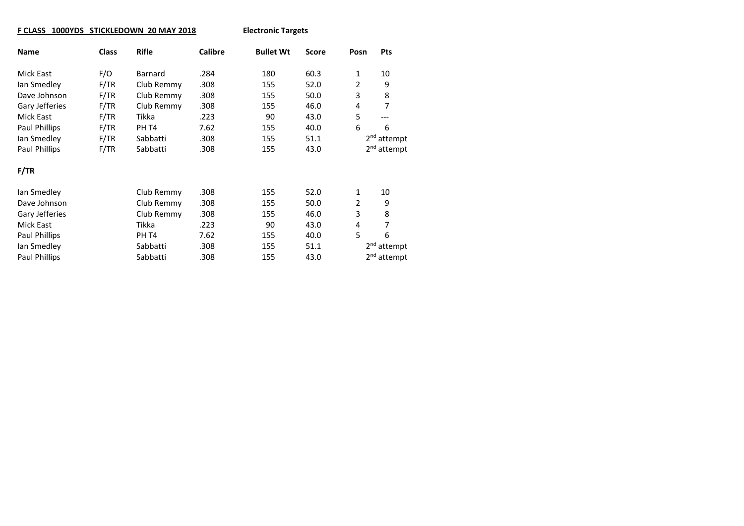## **F CLASS 1000YDS STICKLEDOWN 20 MAY 2018 Electronic Targets**

| <b>Name</b>          | <b>Class</b> | <b>Rifle</b> | <b>Calibre</b> | <b>Bullet Wt</b> | <b>Score</b> | Posn | <b>Pts</b>              |
|----------------------|--------------|--------------|----------------|------------------|--------------|------|-------------------------|
| Mick East            | F/O          | Barnard      | .284           | 180              | 60.3         | 1    | 10                      |
| Ian Smedley          | F/TR         | Club Remmy   | .308           | 155              | 52.0         | 2    | 9                       |
| Dave Johnson         | F/TR         | Club Remmy   | .308           | 155              | 50.0         | 3    | 8                       |
| Gary Jefferies       | F/TR         | Club Remmy   | .308           | 155              | 46.0         | 4    | 7                       |
| <b>Mick East</b>     | F/TR         | Tikka        | .223           | 90               | 43.0         | 5    | ---                     |
| Paul Phillips        | F/TR         | PH T4        | 7.62           | 155              | 40.0         | 6    | 6                       |
| lan Smedley          | F/TR         | Sabbatti     | .308           | 155              | 51.1         |      | 2 <sup>nd</sup> attempt |
| Paul Phillips        | F/TR         | Sabbatti     | .308           | 155              | 43.0         |      | 2 <sup>nd</sup> attempt |
| F/TR                 |              |              |                |                  |              |      |                         |
| lan Smedley          |              | Club Remmy   | .308           | 155              | 52.0         | 1    | 10                      |
| Dave Johnson         |              | Club Remmy   | .308           | 155              | 50.0         | 2    | 9                       |
| Gary Jefferies       |              | Club Remmy   | .308           | 155              | 46.0         | 3    | 8                       |
| Mick East            |              | Tikka        | .223           | 90               | 43.0         | 4    | 7                       |
| Paul Phillips        |              | PH T4        | 7.62           | 155              | 40.0         | 5    | 6                       |
| lan Smedley          |              | Sabbatti     | .308           | 155              | 51.1         |      | 2 <sup>nd</sup> attempt |
| <b>Paul Phillips</b> |              | Sabbatti     | .308           | 155              | 43.0         |      | 2 <sup>nd</sup> attempt |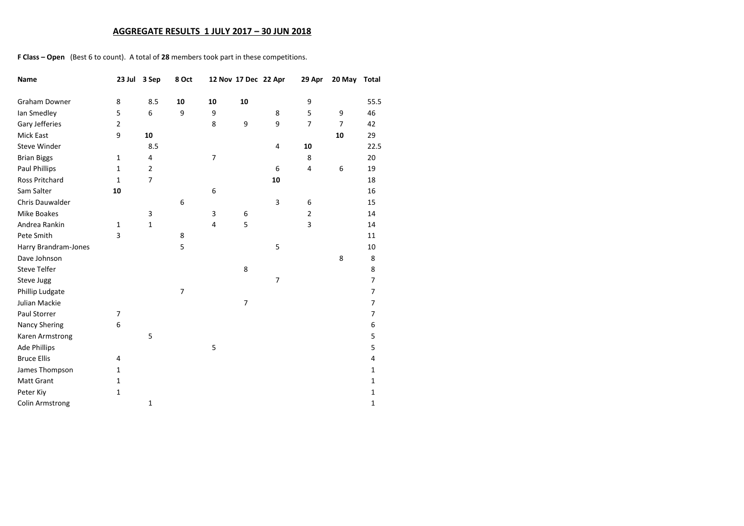### **AGGREGATE RESULTS 1 JULY 2017 – 30 JUN 2018**

**F Class – Open** (Best 6 to count). A total of **28** members took part in these competitions.

| Name                   | 23 Jul         | 3 Sep          | 8 Oct          |                         | 12 Nov 17 Dec 22 Apr |                | 29 Apr         | 20 May         | Total          |
|------------------------|----------------|----------------|----------------|-------------------------|----------------------|----------------|----------------|----------------|----------------|
| <b>Graham Downer</b>   | 8              | 8.5            | 10             | 10                      | 10                   |                | 9              |                | 55.5           |
| Ian Smedley            | 5              | 6              | 9              | 9                       |                      | 8              | 5              | 9              | 46             |
| Gary Jefferies         | 2              |                |                | 8                       | 9                    | 9              | $\overline{7}$ | $\overline{7}$ | 42             |
| Mick East              | 9              | 10             |                |                         |                      |                |                | 10             | 29             |
| <b>Steve Winder</b>    |                | 8.5            |                |                         |                      | 4              | 10             |                | 22.5           |
| <b>Brian Biggs</b>     | $\mathbf{1}$   | 4              |                | 7                       |                      |                | 8              |                | 20             |
| Paul Phillips          | $\mathbf{1}$   | $\overline{2}$ |                |                         |                      | 6              | 4              | 6              | 19             |
| <b>Ross Pritchard</b>  | $\mathbf{1}$   | $\overline{7}$ |                |                         |                      | 10             |                |                | 18             |
| Sam Salter             | 10             |                |                | 6                       |                      |                |                |                | 16             |
| Chris Dauwalder        |                |                | 6              |                         |                      | 3              | 6              |                | 15             |
| <b>Mike Boakes</b>     |                | 3              |                | 3                       | 6                    |                | $\overline{2}$ |                | 14             |
| Andrea Rankin          | $\mathbf{1}$   | $\mathbf 1$    |                | $\overline{\mathbf{4}}$ | 5                    |                | 3              |                | 14             |
| Pete Smith             | 3              |                | 8              |                         |                      |                |                |                | 11             |
| Harry Brandram-Jones   |                |                | 5              |                         |                      | 5              |                |                | 10             |
| Dave Johnson           |                |                |                |                         |                      |                |                | 8              | 8              |
| <b>Steve Telfer</b>    |                |                |                |                         | 8                    |                |                |                | 8              |
| Steve Jugg             |                |                |                |                         |                      | $\overline{7}$ |                |                | $\overline{7}$ |
| Phillip Ludgate        |                |                | $\overline{7}$ |                         |                      |                |                |                | $\overline{7}$ |
| Julian Mackie          |                |                |                |                         | 7                    |                |                |                | 7              |
| Paul Storrer           | $\overline{7}$ |                |                |                         |                      |                |                |                | $\overline{7}$ |
| <b>Nancy Shering</b>   | 6              |                |                |                         |                      |                |                |                | 6              |
| Karen Armstrong        |                | 5              |                |                         |                      |                |                |                | 5              |
| <b>Ade Phillips</b>    |                |                |                | 5                       |                      |                |                |                | 5              |
| <b>Bruce Ellis</b>     | 4              |                |                |                         |                      |                |                |                | 4              |
| James Thompson         | 1              |                |                |                         |                      |                |                |                | $\mathbf{1}$   |
| <b>Matt Grant</b>      | $\mathbf{1}$   |                |                |                         |                      |                |                |                | $\mathbf{1}$   |
| Peter Kiy              | $\mathbf{1}$   |                |                |                         |                      |                |                |                | 1              |
| <b>Colin Armstrong</b> |                | $\mathbf{1}$   |                |                         |                      |                |                |                | 1              |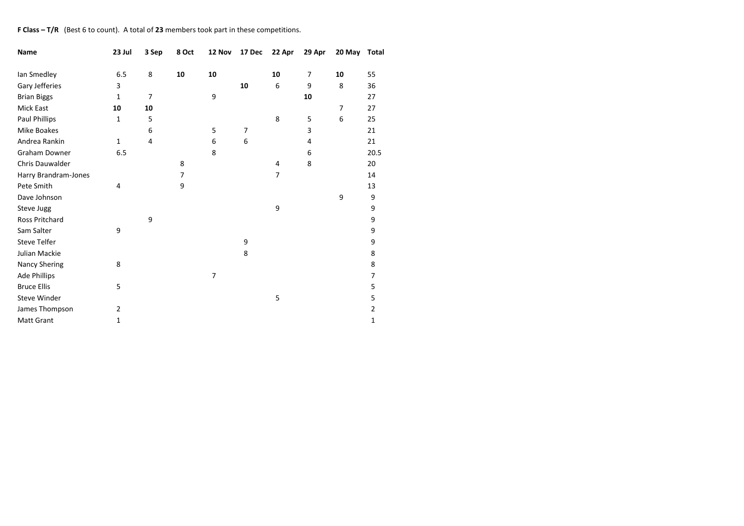#### **F Class – T/R** (Best 6 to count). A total of **23** members took part in these competitions.

| Name                   | 23 Jul       | 3 Sep | 8 Oct | 12 Nov | 17 Dec | 22 Apr         | 29 Apr         | 20 May | <b>Total</b> |
|------------------------|--------------|-------|-------|--------|--------|----------------|----------------|--------|--------------|
| Ian Smedley            | 6.5          | 8     | 10    | 10     |        | 10             | $\overline{7}$ | 10     | 55           |
| Gary Jefferies         | 3            |       |       |        | 10     | 6              | 9              | 8      | 36           |
| <b>Brian Biggs</b>     | 1            | 7     |       | 9      |        |                | 10             |        | 27           |
| Mick East              | 10           | 10    |       |        |        |                |                | 7      | 27           |
| Paul Phillips          | 1            | 5     |       |        |        | 8              | 5              | 6      | 25           |
| Mike Boakes            |              | 6     |       | 5      | 7      |                | 3              |        | 21           |
| Andrea Rankin          | $\mathbf{1}$ | 4     |       | 6      | 6      |                | 4              |        | 21           |
| Graham Downer          | 6.5          |       |       | 8      |        |                | 6              |        | 20.5         |
| <b>Chris Dauwalder</b> |              |       | 8     |        |        | 4              | 8              |        | 20           |
| Harry Brandram-Jones   |              |       | 7     |        |        | $\overline{7}$ |                |        | 14           |
| Pete Smith             | 4            |       | 9     |        |        |                |                |        | 13           |
| Dave Johnson           |              |       |       |        |        |                |                | 9      | 9            |
| Steve Jugg             |              |       |       |        |        | 9              |                |        | 9            |
| <b>Ross Pritchard</b>  |              | 9     |       |        |        |                |                |        | 9            |
| Sam Salter             | 9            |       |       |        |        |                |                |        | 9            |
| <b>Steve Telfer</b>    |              |       |       |        | 9      |                |                |        | 9            |
| Julian Mackie          |              |       |       |        | 8      |                |                |        | 8            |
| Nancy Shering          | 8            |       |       |        |        |                |                |        | 8            |
| Ade Phillips           |              |       |       | 7      |        |                |                |        | 7            |
| <b>Bruce Ellis</b>     | 5            |       |       |        |        |                |                |        | 5            |
| <b>Steve Winder</b>    |              |       |       |        |        | 5              |                |        | 5            |
| James Thompson         | 2            |       |       |        |        |                |                |        | 2            |
| <b>Matt Grant</b>      | 1            |       |       |        |        |                |                |        | 1            |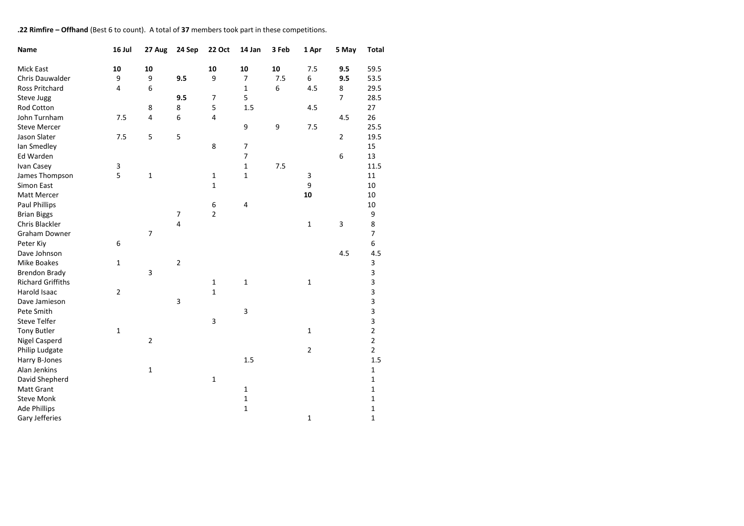#### **.22 Rimfire – Offhand** (Best 6 to count). A total of **37** members took part in these competitions.

| Name                     | 16 Jul         | 27 Aug         | 24 Sep         | <b>22 Oct</b>  | 14 Jan                   | 3 Feb | 1 Apr          | 5 May          | <b>Total</b>   |
|--------------------------|----------------|----------------|----------------|----------------|--------------------------|-------|----------------|----------------|----------------|
| <b>Mick East</b>         | 10             | 10             |                | 10             | 10                       | 10    | 7.5            | 9.5            | 59.5           |
| Chris Dauwalder          | 9              | 9              | 9.5            | 9              | $\overline{7}$           | 7.5   | 6              | 9.5            | 53.5           |
| Ross Pritchard           | 4              | 6              |                |                | $\mathbf 1$              | 6     | 4.5            | 8              | 29.5           |
| Steve Jugg               |                |                | 9.5            | $\overline{7}$ | 5                        |       |                | $\overline{7}$ | 28.5           |
| Rod Cotton               |                | 8              | 8              | 5              | 1.5                      |       | 4.5            |                | 27             |
| John Turnham             | 7.5            | 4              | 6              | 4              |                          |       |                | 4.5            | 26             |
| <b>Steve Mercer</b>      |                |                |                |                | 9                        | 9     | 7.5            |                | 25.5           |
| Jason Slater             | 7.5            | 5              | 5              |                |                          |       |                | $\overline{2}$ | 19.5           |
| Ian Smedley              |                |                |                | 8              | $\overline{\phantom{a}}$ |       |                |                | 15             |
| Ed Warden                |                |                |                |                | $\overline{7}$           |       |                | 6              | 13             |
| Ivan Casey               | 3              |                |                |                | $\mathbf 1$              | 7.5   |                |                | 11.5           |
| James Thompson           | 5              | $\mathbf 1$    |                | $\mathbf 1$    | $\mathbf 1$              |       | 3              |                | 11             |
| Simon East               |                |                |                | $\mathbf{1}$   |                          |       | 9              |                | 10             |
| Matt Mercer              |                |                |                |                |                          |       | 10             |                | 10             |
| Paul Phillips            |                |                |                | 6              | 4                        |       |                |                | 10             |
| <b>Brian Biggs</b>       |                |                | $\overline{7}$ | $\overline{2}$ |                          |       |                |                | 9              |
| Chris Blackler           |                |                | $\overline{4}$ |                |                          |       | $\mathbf{1}$   | 3              | 8              |
| <b>Graham Downer</b>     |                | $\overline{7}$ |                |                |                          |       |                |                | $\overline{7}$ |
| Peter Kiy                | 6              |                |                |                |                          |       |                |                | 6              |
| Dave Johnson             |                |                |                |                |                          |       |                | 4.5            | 4.5            |
| Mike Boakes              | $\mathbf{1}$   |                | $\overline{2}$ |                |                          |       |                |                | 3              |
| <b>Brendon Brady</b>     |                | 3              |                |                |                          |       |                |                | 3              |
| <b>Richard Griffiths</b> |                |                |                | $\mathbf{1}$   | $\mathbf 1$              |       | $\mathbf 1$    |                | 3              |
| Harold Isaac             | $\overline{2}$ |                |                | $\mathbf{1}$   |                          |       |                |                | 3              |
| Dave Jamieson            |                |                | 3              |                |                          |       |                |                | 3              |
| Pete Smith               |                |                |                |                | $\mathsf 3$              |       |                |                | 3              |
| <b>Steve Telfer</b>      |                |                |                | 3              |                          |       |                |                | 3              |
| <b>Tony Butler</b>       | $\mathbf 1$    |                |                |                |                          |       | $\mathbf{1}$   |                | $\mathbf 2$    |
| <b>Nigel Casperd</b>     |                | $\overline{2}$ |                |                |                          |       |                |                | $\overline{2}$ |
| Philip Ludgate           |                |                |                |                |                          |       | $\overline{2}$ |                | $\overline{2}$ |
| Harry B-Jones            |                |                |                |                | 1.5                      |       |                |                | 1.5            |
| Alan Jenkins             |                | $\mathbf{1}$   |                |                |                          |       |                |                | $\mathbf{1}$   |
| David Shepherd           |                |                |                | $\mathbf{1}$   |                          |       |                |                | 1              |
| <b>Matt Grant</b>        |                |                |                |                | $\mathbf{1}$             |       |                |                | 1              |
| <b>Steve Monk</b>        |                |                |                |                | $\mathbf 1$              |       |                |                | 1              |
| <b>Ade Phillips</b>      |                |                |                |                | $\mathbf 1$              |       |                |                | 1              |
| Gary Jefferies           |                |                |                |                |                          |       | $\mathbf{1}$   |                | 1              |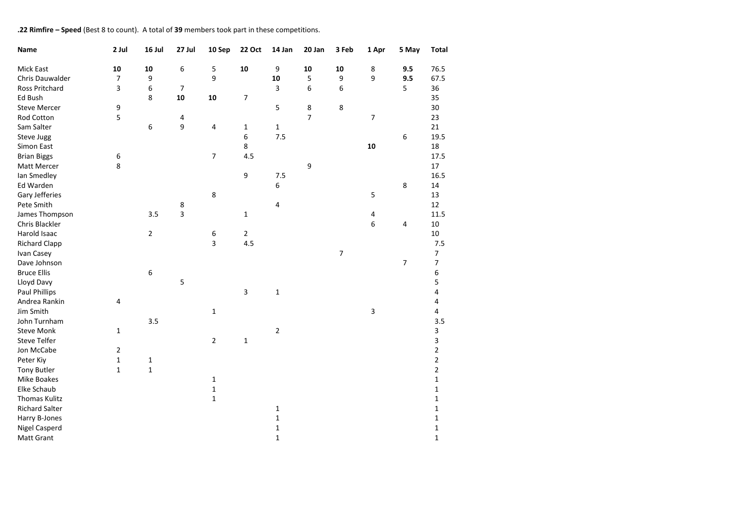## **.22 Rimfire – Speed** (Best 8 to count). A total of **39** members took part in these competitions.

| Name                  | 2 Jul          | 16 Jul         | 27 Jul | 10 Sep         | <b>22 Oct</b>            | 14 Jan       | 20 Jan         | 3 Feb          | 1 Apr | 5 May | <b>Total</b>   |
|-----------------------|----------------|----------------|--------|----------------|--------------------------|--------------|----------------|----------------|-------|-------|----------------|
| Mick East             | 10             | 10             | 6      | 5              | 10                       | 9            | 10             | 10             | 8     | 9.5   | 76.5           |
| Chris Dauwalder       | $\overline{7}$ | 9              |        | 9              |                          | 10           | 5              | 9              | 9     | 9.5   | 67.5           |
| Ross Pritchard        | 3              | 6              | 7      |                |                          | 3            | 6              | 6              |       | 5     | 36             |
| Ed Bush               |                | 8              | 10     | 10             | $\overline{\phantom{a}}$ |              |                |                |       |       | 35             |
| <b>Steve Mercer</b>   | 9              |                |        |                |                          | 5            | 8              | 8              |       |       | 30             |
| Rod Cotton            | 5              |                | 4      |                |                          |              | $\overline{7}$ |                | 7     |       | 23             |
| Sam Salter            |                | 6              | 9      | 4              | $\mathbf{1}$             | $\mathbf 1$  |                |                |       |       | 21             |
| Steve Jugg            |                |                |        |                | 6                        | 7.5          |                |                |       | 6     | 19.5           |
| Simon East            |                |                |        |                | 8                        |              |                |                | 10    |       | 18             |
| <b>Brian Biggs</b>    | 6              |                |        | 7              | 4.5                      |              |                |                |       |       | 17.5           |
| Matt Mercer           | 8              |                |        |                |                          |              | 9              |                |       |       | 17             |
| lan Smedley           |                |                |        |                | 9                        | 7.5          |                |                |       |       | 16.5           |
| Ed Warden             |                |                |        |                |                          | 6            |                |                |       | 8     | 14             |
| Gary Jefferies        |                |                |        | 8              |                          |              |                |                | 5     |       | 13             |
| Pete Smith            |                |                | 8      |                |                          | 4            |                |                |       |       | 12             |
| James Thompson        |                | 3.5            | 3      |                | $\mathbf{1}$             |              |                |                | 4     |       | 11.5           |
| Chris Blackler        |                |                |        |                |                          |              |                |                | 6     | 4     | $10\,$         |
| Harold Isaac          |                | $\overline{2}$ |        | 6              | $\mathbf{2}$             |              |                |                |       |       | 10             |
| <b>Richard Clapp</b>  |                |                |        | 3              | 4.5                      |              |                |                |       |       | 7.5            |
| Ivan Casey            |                |                |        |                |                          |              |                | $\overline{7}$ |       |       | 7              |
| Dave Johnson          |                |                |        |                |                          |              |                |                |       | 7     | 7              |
| <b>Bruce Ellis</b>    |                | 6              |        |                |                          |              |                |                |       |       | 6              |
| Lloyd Davy            |                |                | 5      |                |                          |              |                |                |       |       | 5              |
| <b>Paul Phillips</b>  |                |                |        |                | 3                        | $\mathbf 1$  |                |                |       |       | 4              |
| Andrea Rankin         | 4              |                |        |                |                          |              |                |                |       |       | 4              |
| Jim Smith             |                |                |        | $\mathbf{1}$   |                          |              |                |                | 3     |       | 4              |
| John Turnham          |                | 3.5            |        |                |                          |              |                |                |       |       | 3.5            |
| <b>Steve Monk</b>     | $\mathbf{1}$   |                |        |                |                          | 2            |                |                |       |       | 3              |
| <b>Steve Telfer</b>   |                |                |        | $\overline{2}$ | $\mathbf 1$              |              |                |                |       |       | 3              |
| Jon McCabe            | 2              |                |        |                |                          |              |                |                |       |       | 2              |
| Peter Kiy             | $\mathbf 1$    | $\mathbf{1}$   |        |                |                          |              |                |                |       |       | $\overline{2}$ |
| <b>Tony Butler</b>    | $\mathbf{1}$   | $\mathbf{1}$   |        |                |                          |              |                |                |       |       | $\overline{2}$ |
| Mike Boakes           |                |                |        | 1              |                          |              |                |                |       |       | 1              |
| Elke Schaub           |                |                |        | $\mathbf 1$    |                          |              |                |                |       |       | $\mathbf 1$    |
| <b>Thomas Kulitz</b>  |                |                |        | $\mathbf{1}$   |                          |              |                |                |       |       | 1              |
| <b>Richard Salter</b> |                |                |        |                |                          | 1            |                |                |       |       | 1              |
| Harry B-Jones         |                |                |        |                |                          | $\mathbf{1}$ |                |                |       |       | 1              |
| <b>Nigel Casperd</b>  |                |                |        |                |                          | $\mathbf{1}$ |                |                |       |       | 1              |
| Matt Grant            |                |                |        |                |                          | $\mathbf{1}$ |                |                |       |       | $\mathbf{1}$   |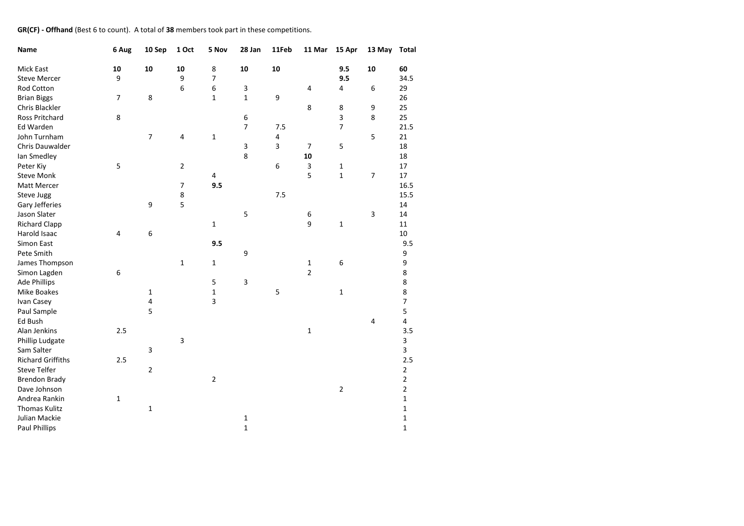### **GR(CF) - Offhand** (Best 6 to count). A total of **38** members took part in these competitions.

| Name                     | 6 Aug | 10 Sep         | 1 Oct          | 5 Nov          | 28 Jan         | 11Feb | 11 Mar         | 15 Apr         | 13 May         | <b>Total</b>   |
|--------------------------|-------|----------------|----------------|----------------|----------------|-------|----------------|----------------|----------------|----------------|
| Mick East                | 10    | 10             | 10             | 8              | 10             | 10    |                | 9.5            | 10             | 60             |
| <b>Steve Mercer</b>      | 9     |                | 9              | $\overline{7}$ |                |       |                | 9.5            |                | 34.5           |
| Rod Cotton               |       |                | 6              | 6              | 3              |       | 4              | 4              | 6              | 29             |
| <b>Brian Biggs</b>       | 7     | 8              |                | $\mathbf{1}$   | $\mathbf 1$    | 9     |                |                |                | 26             |
| Chris Blackler           |       |                |                |                |                |       | 8              | 8              | 9              | 25             |
| Ross Pritchard           | 8     |                |                |                | 6              |       |                | 3              | 8              | 25             |
| <b>Ed Warden</b>         |       |                |                |                | $\overline{7}$ | 7.5   |                | $\overline{7}$ |                | 21.5           |
| John Turnham             |       | $\overline{7}$ | 4              | $\mathbf{1}$   |                | 4     |                |                | 5              | 21             |
| Chris Dauwalder          |       |                |                |                | $\mathsf 3$    | 3     | $\overline{7}$ | 5              |                | 18             |
| lan Smedley              |       |                |                |                | 8              |       | 10             |                |                | 18             |
| Peter Kiy                | 5     |                | $\mathbf 2$    |                |                | 6     | 3              | 1              |                | 17             |
| <b>Steve Monk</b>        |       |                |                | 4              |                |       | 5              | 1              | $\overline{7}$ | 17             |
| Matt Mercer              |       |                | $\overline{7}$ | 9.5            |                |       |                |                |                | 16.5           |
| Steve Jugg               |       |                | 8              |                |                | 7.5   |                |                |                | 15.5           |
| Gary Jefferies           |       | 9              | 5              |                |                |       |                |                |                | 14             |
| Jason Slater             |       |                |                |                | 5              |       | 6              |                | 3              | 14             |
| <b>Richard Clapp</b>     |       |                |                | $\mathbf 1$    |                |       | 9              | 1              |                | 11             |
| Harold Isaac             | 4     | 6              |                |                |                |       |                |                |                | 10             |
| Simon East               |       |                |                | 9.5            |                |       |                |                |                | 9.5            |
| Pete Smith               |       |                |                |                | 9              |       |                |                |                | 9              |
| James Thompson           |       |                | $\mathbf 1$    | $\mathbf{1}$   |                |       | 1              | 6              |                | 9              |
| Simon Lagden             | 6     |                |                |                |                |       | $\overline{2}$ |                |                | 8              |
| <b>Ade Phillips</b>      |       |                |                | 5              | $\mathsf 3$    |       |                |                |                | 8              |
| Mike Boakes              |       | $\mathbf 1$    |                | $\mathbf 1$    |                | 5     |                | 1              |                | 8              |
| Ivan Casey               |       | 4              |                | 3              |                |       |                |                |                | $\overline{7}$ |
| Paul Sample              |       | 5              |                |                |                |       |                |                |                | 5              |
| Ed Bush                  |       |                |                |                |                |       |                |                | 4              | 4              |
| Alan Jenkins             | 2.5   |                |                |                |                |       | $\mathbf 1$    |                |                | 3.5            |
| Phillip Ludgate          |       |                | 3              |                |                |       |                |                |                | 3              |
| Sam Salter               |       | 3              |                |                |                |       |                |                |                | 3              |
| <b>Richard Griffiths</b> | 2.5   |                |                |                |                |       |                |                |                | 2.5            |
| <b>Steve Telfer</b>      |       | $\overline{2}$ |                |                |                |       |                |                |                | $\mathbf 2$    |
| <b>Brendon Brady</b>     |       |                |                | $\mathbf 2$    |                |       |                |                |                | $\overline{2}$ |
| Dave Johnson             |       |                |                |                |                |       |                | $\overline{2}$ |                | $\overline{2}$ |
| Andrea Rankin            | 1     |                |                |                |                |       |                |                |                | 1              |
| <b>Thomas Kulitz</b>     |       | 1              |                |                |                |       |                |                |                | 1              |
| Julian Mackie            |       |                |                |                | $\mathbf 1$    |       |                |                |                | 1              |
| <b>Paul Phillips</b>     |       |                |                |                | $\mathbf 1$    |       |                |                |                | 1              |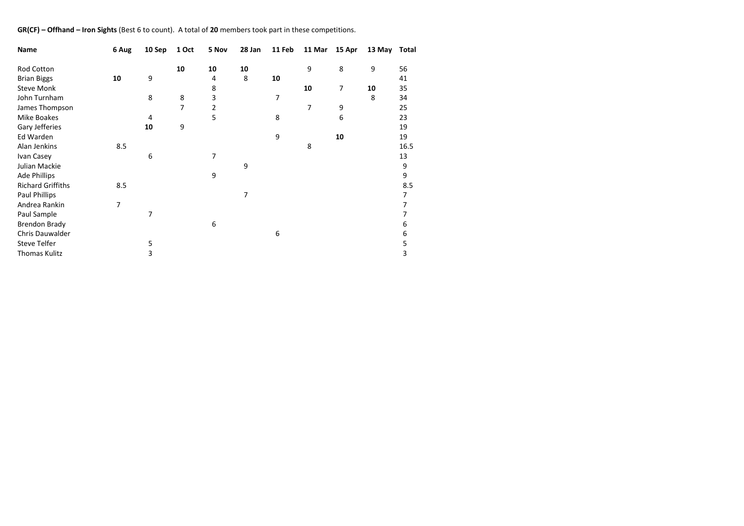### **GR(CF) – Offhand – Iron Sights** (Best 6 to count). A total of **20** members took part in these competitions.

| Name                     | 6 Aug | 10 Sep | 1 Oct | 5 Nov          | 28 Jan | 11 Feb | 11 Mar | 15 Apr | 13 May | Total |
|--------------------------|-------|--------|-------|----------------|--------|--------|--------|--------|--------|-------|
| Rod Cotton               |       |        | 10    | 10             | 10     |        | 9      | 8      | 9      | 56    |
| <b>Brian Biggs</b>       | 10    | 9      |       | 4              | 8      | 10     |        |        |        | 41    |
| <b>Steve Monk</b>        |       |        |       | 8              |        |        | 10     | 7      | 10     | 35    |
| John Turnham             |       | 8      | 8     | 3              |        | 7      |        |        | 8      | 34    |
| James Thompson           |       |        | 7     | $\overline{2}$ |        |        | 7      | 9      |        | 25    |
|                          |       |        |       |                |        |        |        |        |        |       |
| Mike Boakes              |       | 4      |       | 5              |        | 8      |        | 6      |        | 23    |
| Gary Jefferies           |       | 10     | 9     |                |        |        |        |        |        | 19    |
| Ed Warden                |       |        |       |                |        | 9      |        | 10     |        | 19    |
| Alan Jenkins             | 8.5   |        |       |                |        |        | 8      |        |        | 16.5  |
| Ivan Casey               |       | 6      |       | 7              |        |        |        |        |        | 13    |
| Julian Mackie            |       |        |       |                | 9      |        |        |        |        | 9     |
| <b>Ade Phillips</b>      |       |        |       | 9              |        |        |        |        |        | 9     |
| <b>Richard Griffiths</b> | 8.5   |        |       |                |        |        |        |        |        | 8.5   |
| Paul Phillips            |       |        |       |                | 7      |        |        |        |        | 7     |
| Andrea Rankin            | 7     |        |       |                |        |        |        |        |        | 7     |
| Paul Sample              |       | 7      |       |                |        |        |        |        |        | 7     |
| <b>Brendon Brady</b>     |       |        |       | 6              |        |        |        |        |        | 6     |
| Chris Dauwalder          |       |        |       |                |        | 6      |        |        |        | 6     |
| Steve Telfer             |       | 5      |       |                |        |        |        |        |        | 5     |
| <b>Thomas Kulitz</b>     |       | 3      |       |                |        |        |        |        |        | 3     |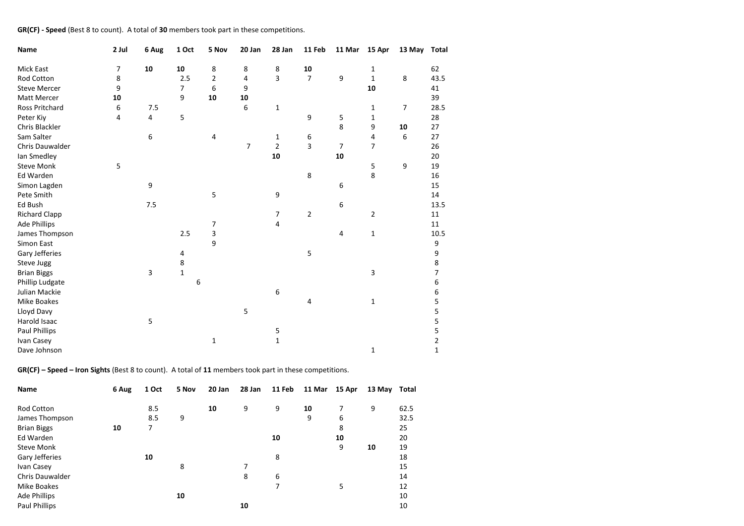## **GR(CF) - Speed** (Best 8 to count). A total of **30** members took part in these competitions.

| Name                 | 2 Jul | 6 Aug                   | 1 Oct          | 5 Nov | 20 Jan         | 28 Jan         | 11 Feb         | 11 Mar         | 15 Apr         | 13 May Total |                |
|----------------------|-------|-------------------------|----------------|-------|----------------|----------------|----------------|----------------|----------------|--------------|----------------|
| Mick East            | 7     | 10                      | 10             | 8     | 8              | 8              | 10             |                | 1              |              | 62             |
| Rod Cotton           | 8     |                         | 2.5            | 2     | 4              | 3              | $\overline{7}$ | 9              | $\mathbf{1}$   | $\,8\,$      | 43.5           |
| <b>Steve Mercer</b>  | 9     |                         | $\overline{7}$ | 6     | 9              |                |                |                | 10             |              | 41             |
| Matt Mercer          | 10    |                         | 9              | 10    | 10             |                |                |                |                |              | 39             |
| Ross Pritchard       | 6     | 7.5                     |                |       | 6              | $\mathbf{1}$   |                |                | 1              | 7            | 28.5           |
| Peter Kiy            | 4     | 4                       | 5              |       |                |                | 9              | 5              | 1              |              | 28             |
| Chris Blackler       |       |                         |                |       |                |                |                | 8              | 9              | 10           | 27             |
| Sam Salter           |       | 6                       |                | 4     |                | 1              | 6              |                | 4              | 6            | 27             |
| Chris Dauwalder      |       |                         |                |       | $\overline{7}$ | $\overline{2}$ | 3              | $\overline{7}$ | $\overline{7}$ |              | 26             |
| lan Smedley          |       |                         |                |       |                | 10             |                | 10             |                |              | 20             |
| <b>Steve Monk</b>    | 5     |                         |                |       |                |                |                |                | 5              | 9            | 19             |
| Ed Warden            |       |                         |                |       |                |                | 8              |                | 8              |              | 16             |
| Simon Lagden         |       | 9                       |                |       |                |                |                | 6              |                |              | 15             |
| Pete Smith           |       |                         |                | 5     |                | 9              |                |                |                |              | 14             |
| Ed Bush              |       | 7.5                     |                |       |                |                |                | 6              |                |              | 13.5           |
| <b>Richard Clapp</b> |       |                         |                |       |                | 7              | $\overline{2}$ |                | $\overline{2}$ |              | 11             |
| <b>Ade Phillips</b>  |       |                         |                | 7     |                | 4              |                |                |                |              | 11             |
| James Thompson       |       |                         | 2.5            | 3     |                |                |                | 4              | $\mathbf 1$    |              | 10.5           |
| Simon East           |       |                         |                | 9     |                |                |                |                |                |              | 9              |
| Gary Jefferies       |       |                         | 4              |       |                |                | 5              |                |                |              | 9              |
| Steve Jugg           |       |                         | 8              |       |                |                |                |                |                |              | 8              |
| <b>Brian Biggs</b>   |       | $\overline{\mathbf{3}}$ | $\mathbf{1}$   |       |                |                |                |                | 3              |              | $\overline{7}$ |
| Phillip Ludgate      |       |                         | 6              |       |                |                |                |                |                |              | 6              |
| Julian Mackie        |       |                         |                |       |                | 6              |                |                |                |              | 6              |
| <b>Mike Boakes</b>   |       |                         |                |       |                |                | 4              |                | $\mathbf{1}$   |              | 5              |
| Lloyd Davy           |       |                         |                |       | 5              |                |                |                |                |              | 5              |
| Harold Isaac         |       | 5                       |                |       |                |                |                |                |                |              | 5              |
| <b>Paul Phillips</b> |       |                         |                |       |                | 5              |                |                |                |              | 5              |
| Ivan Casey           |       |                         |                | 1     |                | $\mathbf 1$    |                |                |                |              | $\overline{2}$ |
| Dave Johnson         |       |                         |                |       |                |                |                |                | $\mathbf{1}$   |              | $\mathbf{1}$   |

**GR(CF) – Speed – Iron Sights** (Best 8 to count). A total of **11** members took part in these competitions.

| Name                   | 6 Aug | 1 Oct | 5 Nov | 20 Jan | 28 Jan | 11 Feb | 11 Mar | 15 Apr | 13 May | Total |
|------------------------|-------|-------|-------|--------|--------|--------|--------|--------|--------|-------|
|                        |       |       |       |        |        |        |        |        |        |       |
| Rod Cotton             |       | 8.5   |       | 10     | 9      | 9      | 10     | 7      | 9      | 62.5  |
| James Thompson         |       | 8.5   | 9     |        |        |        | 9      | 6      |        | 32.5  |
| <b>Brian Biggs</b>     | 10    | 7     |       |        |        |        |        | 8      |        | 25    |
| Ed Warden              |       |       |       |        |        | 10     |        | 10     |        | 20    |
| <b>Steve Monk</b>      |       |       |       |        |        |        |        | 9      | 10     | 19    |
| Gary Jefferies         |       | 10    |       |        |        | 8      |        |        |        | 18    |
| Ivan Casey             |       |       | 8     |        | 7      |        |        |        |        | 15    |
| <b>Chris Dauwalder</b> |       |       |       |        | 8      | 6      |        |        |        | 14    |
| Mike Boakes            |       |       |       |        |        | 7      |        | 5      |        | 12    |
| <b>Ade Phillips</b>    |       |       | 10    |        |        |        |        |        |        | 10    |
| Paul Phillips          |       |       |       |        | 10     |        |        |        |        | 10    |